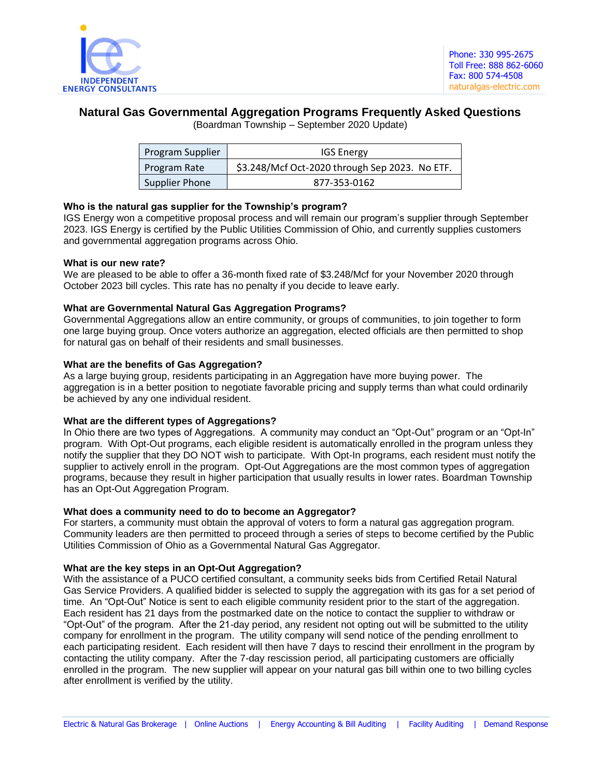

# **Natural Gas Governmental Aggregation Programs Frequently Asked Questions**

(Boardman Township – September 2020 Update)

| Program Supplier | <b>IGS Energy</b>                              |
|------------------|------------------------------------------------|
| Program Rate     | \$3.248/Mcf Oct-2020 through Sep 2023. No ETF. |
| Supplier Phone   | 877-353-0162                                   |

# **Who is the natural gas supplier for the Township's program?**

IGS Energy won a competitive proposal process and will remain our program's supplier through September 2023. IGS Energy is certified by the Public Utilities Commission of Ohio, and currently supplies customers and governmental aggregation programs across Ohio.

# **What is our new rate?**

We are pleased to be able to offer a 36-month fixed rate of \$3.248/Mcf for your November 2020 through October 2023 bill cycles. This rate has no penalty if you decide to leave early.

# **What are Governmental Natural Gas Aggregation Programs?**

Governmental Aggregations allow an entire community, or groups of communities, to join together to form one large buying group. Once voters authorize an aggregation, elected officials are then permitted to shop for natural gas on behalf of their residents and small businesses.

# **What are the benefits of Gas Aggregation?**

As a large buying group, residents participating in an Aggregation have more buying power. The aggregation is in a better position to negotiate favorable pricing and supply terms than what could ordinarily be achieved by any one individual resident.

# **What are the different types of Aggregations?**

In Ohio there are two types of Aggregations. A community may conduct an "Opt-Out" program or an "Opt-In" program. With Opt-Out programs, each eligible resident is automatically enrolled in the program unless they notify the supplier that they DO NOT wish to participate. With Opt-In programs, each resident must notify the supplier to actively enroll in the program. Opt-Out Aggregations are the most common types of aggregation programs, because they result in higher participation that usually results in lower rates. Boardman Township has an Opt-Out Aggregation Program.

# **What does a community need to do to become an Aggregator?**

For starters, a community must obtain the approval of voters to form a natural gas aggregation program. Community leaders are then permitted to proceed through a series of steps to become certified by the Public Utilities Commission of Ohio as a Governmental Natural Gas Aggregator.

# **What are the key steps in an Opt-Out Aggregation?**

With the assistance of a PUCO certified consultant, a community seeks bids from Certified Retail Natural Gas Service Providers. A qualified bidder is selected to supply the aggregation with its gas for a set period of time. An "Opt-Out" Notice is sent to each eligible community resident prior to the start of the aggregation. Each resident has 21 days from the postmarked date on the notice to contact the supplier to withdraw or "Opt-Out" of the program. After the 21-day period, any resident not opting out will be submitted to the utility company for enrollment in the program. The utility company will send notice of the pending enrollment to each participating resident. Each resident will then have 7 days to rescind their enrollment in the program by contacting the utility company. After the 7-day rescission period, all participating customers are officially enrolled in the program. The new supplier will appear on your natural gas bill within one to two billing cycles after enrollment is verified by the utility.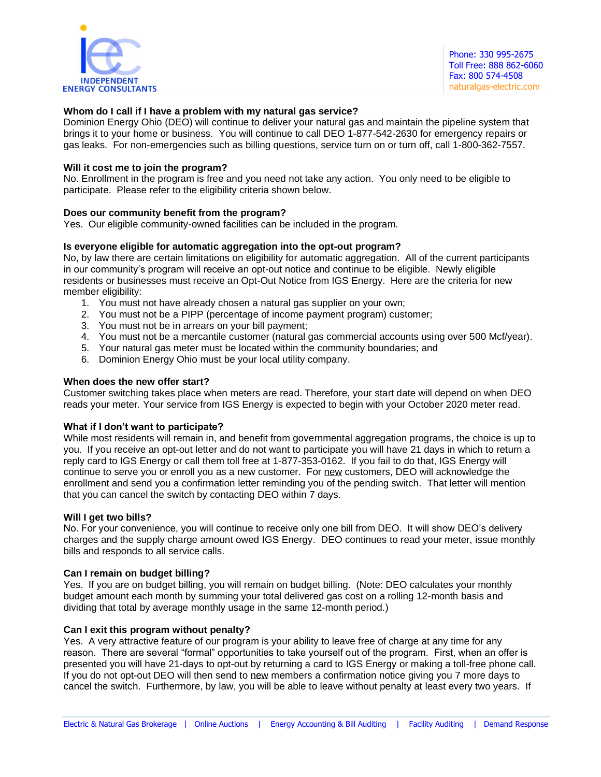

# **Whom do I call if I have a problem with my natural gas service?**

Dominion Energy Ohio (DEO) will continue to deliver your natural gas and maintain the pipeline system that brings it to your home or business. You will continue to call DEO 1-877-542-2630 for emergency repairs or gas leaks. For non-emergencies such as billing questions, service turn on or turn off, call 1-800-362-7557.

# **Will it cost me to join the program?**

No. Enrollment in the program is free and you need not take any action. You only need to be eligible to participate. Please refer to the eligibility criteria shown below.

# **Does our community benefit from the program?**

Yes. Our eligible community-owned facilities can be included in the program.

# **Is everyone eligible for automatic aggregation into the opt-out program?**

No, by law there are certain limitations on eligibility for automatic aggregation. All of the current participants in our community's program will receive an opt-out notice and continue to be eligible. Newly eligible residents or businesses must receive an Opt-Out Notice from IGS Energy. Here are the criteria for new member eligibility:

- 1. You must not have already chosen a natural gas supplier on your own;
- 2. You must not be a PIPP (percentage of income payment program) customer;
- 3. You must not be in arrears on your bill payment;
- 4. You must not be a mercantile customer (natural gas commercial accounts using over 500 Mcf/year).
- 5. Your natural gas meter must be located within the community boundaries; and
- 6. Dominion Energy Ohio must be your local utility company.

# **When does the new offer start?**

Customer switching takes place when meters are read. Therefore, your start date will depend on when DEO reads your meter. Your service from IGS Energy is expected to begin with your October 2020 meter read.

#### **What if I don't want to participate?**

While most residents will remain in, and benefit from governmental aggregation programs, the choice is up to you. If you receive an opt-out letter and do not want to participate you will have 21 days in which to return a reply card to IGS Energy or call them toll free at 1-877-353-0162. If you fail to do that, IGS Energy will continue to serve you or enroll you as a new customer. For new customers, DEO will acknowledge the enrollment and send you a confirmation letter reminding you of the pending switch. That letter will mention that you can cancel the switch by contacting DEO within 7 days.

#### **Will I get two bills?**

No. For your convenience, you will continue to receive only one bill from DEO. It will show DEO's delivery charges and the supply charge amount owed IGS Energy. DEO continues to read your meter, issue monthly bills and responds to all service calls.

# **Can I remain on budget billing?**

Yes. If you are on budget billing, you will remain on budget billing. (Note: DEO calculates your monthly budget amount each month by summing your total delivered gas cost on a rolling 12-month basis and dividing that total by average monthly usage in the same 12-month period.)

#### **Can I exit this program without penalty?**

Yes. A very attractive feature of our program is your ability to leave free of charge at any time for any reason. There are several "formal" opportunities to take yourself out of the program. First, when an offer is presented you will have 21-days to opt-out by returning a card to IGS Energy or making a toll-free phone call. If you do not opt-out DEO will then send to new members a confirmation notice giving you 7 more days to cancel the switch. Furthermore, by law, you will be able to leave without penalty at least every two years. If